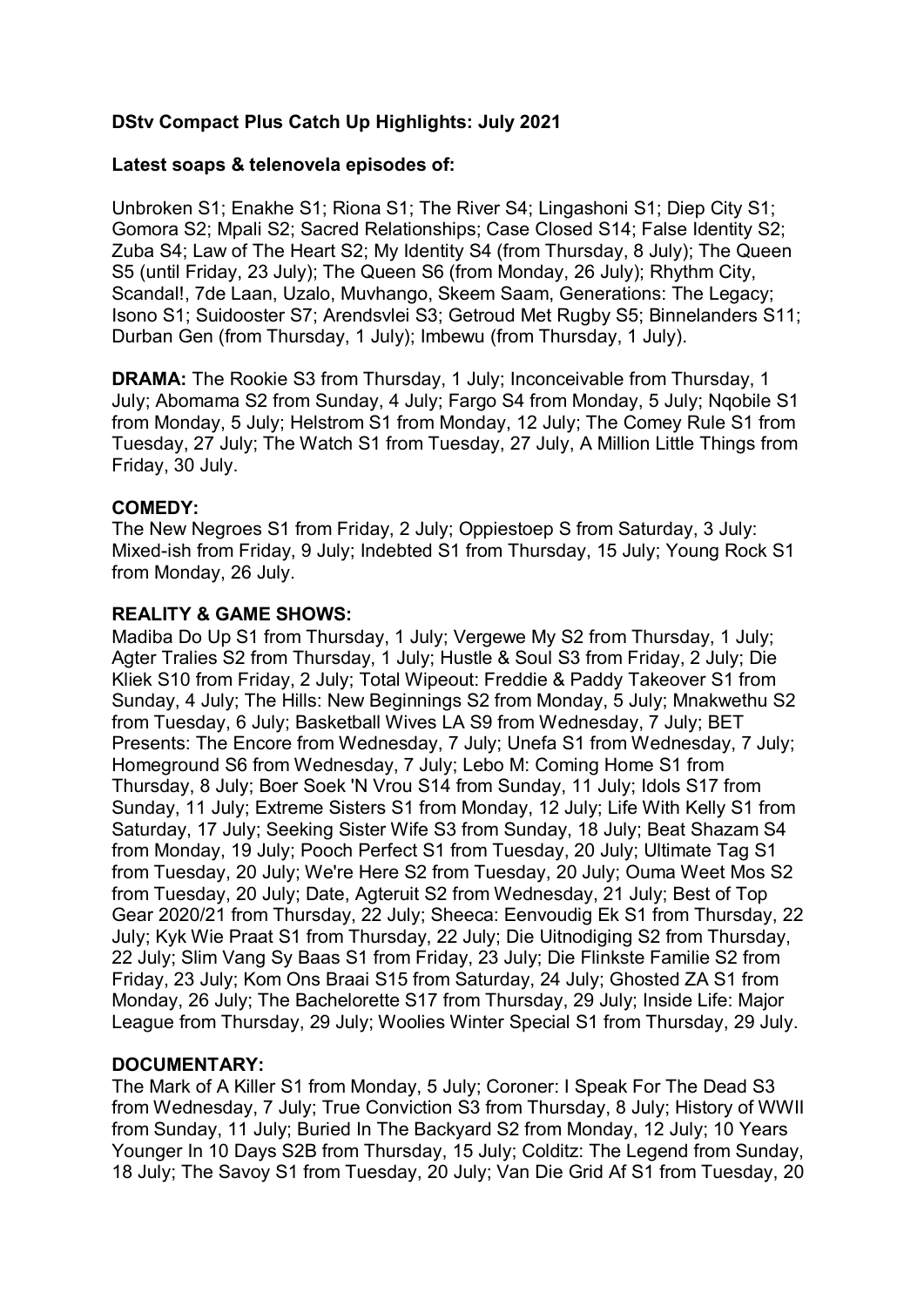# **DStv Compact Plus Catch Up Highlights: July 2021**

### **Latest soaps & telenovela episodes of:**

Unbroken S1; Enakhe S1; Riona S1; The River S4; Lingashoni S1; Diep City S1; Gomora S2; Mpali S2; Sacred Relationships; Case Closed S14; False Identity S2; Zuba S4; Law of The Heart S2; My Identity S4 (from Thursday, 8 July); The Queen S5 (until Friday, 23 July); The Queen S6 (from Monday, 26 July); Rhythm City, Scandal!, 7de Laan, Uzalo, Muvhango, Skeem Saam, Generations: The Legacy; Isono S1; Suidooster S7; Arendsvlei S3; Getroud Met Rugby S5; Binnelanders S11; Durban Gen (from Thursday, 1 July); Imbewu (from Thursday, 1 July).

**DRAMA:** The Rookie S3 from Thursday, 1 July; Inconceivable from Thursday, 1 July; Abomama S2 from Sunday, 4 July; Fargo S4 from Monday, 5 July; Nqobile S1 from Monday, 5 July; Helstrom S1 from Monday, 12 July; The Comey Rule S1 from Tuesday, 27 July; The Watch S1 from Tuesday, 27 July, A Million Little Things from Friday, 30 July.

#### **COMEDY:**

The New Negroes S1 from Friday, 2 July; Oppiestoep S from Saturday, 3 July: Mixed-ish from Friday, 9 July; Indebted S1 from Thursday, 15 July; Young Rock S1 from Monday, 26 July.

#### **REALITY & GAME SHOWS:**

Madiba Do Up S1 from Thursday, 1 July; Vergewe My S2 from Thursday, 1 July; Agter Tralies S2 from Thursday, 1 July; Hustle & Soul S3 from Friday, 2 July; Die Kliek S10 from Friday, 2 July; Total Wipeout: Freddie & Paddy Takeover S1 from Sunday, 4 July; The Hills: New Beginnings S2 from Monday, 5 July; Mnakwethu S2 from Tuesday, 6 July; Basketball Wives LA S9 from Wednesday, 7 July; BET Presents: The Encore from Wednesday, 7 July; Unefa S1 from Wednesday, 7 July; Homeground S6 from Wednesday, 7 July; Lebo M: Coming Home S1 from Thursday, 8 July; Boer Soek 'N Vrou S14 from Sunday, 11 July; Idols S17 from Sunday, 11 July; Extreme Sisters S1 from Monday, 12 July; Life With Kelly S1 from Saturday, 17 July; Seeking Sister Wife S3 from Sunday, 18 July; Beat Shazam S4 from Monday, 19 July; Pooch Perfect S1 from Tuesday, 20 July; Ultimate Tag S1 from Tuesday, 20 July; We're Here S2 from Tuesday, 20 July; Ouma Weet Mos S2 from Tuesday, 20 July; Date, Agteruit S2 from Wednesday, 21 July; Best of Top Gear 2020/21 from Thursday, 22 July; Sheeca: Eenvoudig Ek S1 from Thursday, 22 July; Kyk Wie Praat S1 from Thursday, 22 July; Die Uitnodiging S2 from Thursday, 22 July; Slim Vang Sy Baas S1 from Friday, 23 July; Die Flinkste Familie S2 from Friday, 23 July; Kom Ons Braai S15 from Saturday, 24 July; Ghosted ZA S1 from Monday, 26 July; The Bachelorette S17 from Thursday, 29 July; Inside Life: Major League from Thursday, 29 July; Woolies Winter Special S1 from Thursday, 29 July.

### **DOCUMENTARY:**

The Mark of A Killer S1 from Monday, 5 July; Coroner: I Speak For The Dead S3 from Wednesday, 7 July; True Conviction S3 from Thursday, 8 July; History of WWII from Sunday, 11 July; Buried In The Backyard S2 from Monday, 12 July; 10 Years Younger In 10 Days S2B from Thursday, 15 July; Colditz: The Legend from Sunday, 18 July; The Savoy S1 from Tuesday, 20 July; Van Die Grid Af S1 from Tuesday, 20